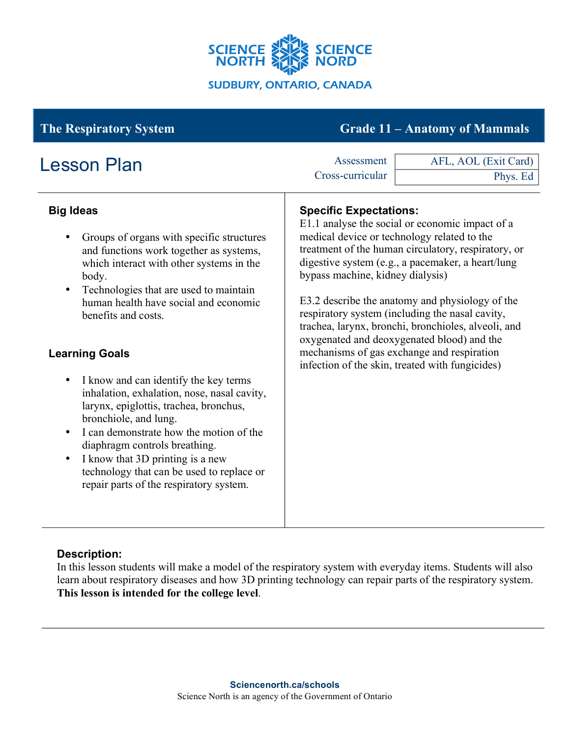

# **The Respiratory System Grade 11 – Anatomy of Mammals**

| <b>Lesson Plan</b>                                                                                                                                                                                                                                                                                                                                                                                                                                                                                                                                                                                                                                                               | Assessment<br>Cross-curricular                                                                                   | AFL, AOL (Exit Card)<br>Phys. Ed                                                                                                                                                                                                                                                                                                                                                                                                                                        |
|----------------------------------------------------------------------------------------------------------------------------------------------------------------------------------------------------------------------------------------------------------------------------------------------------------------------------------------------------------------------------------------------------------------------------------------------------------------------------------------------------------------------------------------------------------------------------------------------------------------------------------------------------------------------------------|------------------------------------------------------------------------------------------------------------------|-------------------------------------------------------------------------------------------------------------------------------------------------------------------------------------------------------------------------------------------------------------------------------------------------------------------------------------------------------------------------------------------------------------------------------------------------------------------------|
| <b>Big Ideas</b><br>Groups of organs with specific structures<br>and functions work together as systems,<br>which interact with other systems in the<br>body.<br>Technologies that are used to maintain<br>human health have social and economic<br>benefits and costs.<br><b>Learning Goals</b><br>I know and can identify the key terms<br>$\bullet$<br>inhalation, exhalation, nose, nasal cavity,<br>larynx, epiglottis, trachea, bronchus,<br>bronchiole, and lung.<br>I can demonstrate how the motion of the<br>diaphragm controls breathing.<br>I know that 3D printing is a new<br>technology that can be used to replace or<br>repair parts of the respiratory system. | <b>Specific Expectations:</b><br>medical device or technology related to the<br>bypass machine, kidney dialysis) | E1.1 analyse the social or economic impact of a<br>treatment of the human circulatory, respiratory, or<br>digestive system (e.g., a pacemaker, a heart/lung<br>E3.2 describe the anatomy and physiology of the<br>respiratory system (including the nasal cavity,<br>trachea, larynx, bronchi, bronchioles, alveoli, and<br>oxygenated and deoxygenated blood) and the<br>mechanisms of gas exchange and respiration<br>infection of the skin, treated with fungicides) |

# **Description:**

In this lesson students will make a model of the respiratory system with everyday items. Students will also learn about respiratory diseases and how 3D printing technology can repair parts of the respiratory system. **This lesson is intended for the college level**.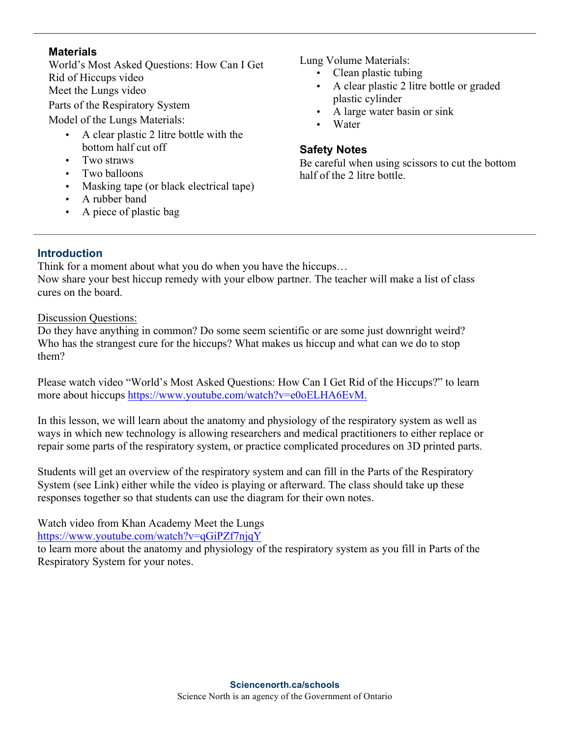#### **Materials**

World's Most Asked Questions: How Can I Get Rid of Hiccups video Meet the Lungs video Parts of the Respiratory System Model of the Lungs Materials:

- A clear plastic 2 litre bottle with the bottom half cut off
- Two straws
- Two balloons
- Masking tape (or black electrical tape)
- A rubber band
- A piece of plastic bag

Lung Volume Materials:

- Clean plastic tubing
- A clear plastic 2 litre bottle or graded plastic cylinder
- A large water basin or sink
- Water

# **Safety Notes**

Be careful when using scissors to cut the bottom half of the 2 litre bottle.

# **Introduction**

Think for a moment about what you do when you have the hiccups…

Now share your best hiccup remedy with your elbow partner. The teacher will make a list of class cures on the board.

Discussion Questions:

Do they have anything in common? Do some seem scientific or are some just downright weird? Who has the strangest cure for the hiccups? What makes us hiccup and what can we do to stop them?

Please watch video "World's Most Asked Questions: How Can I Get Rid of the Hiccups?" to learn more about hiccups https://www.youtube.com/watch?v=e0oELHA6EvM.

In this lesson, we will learn about the anatomy and physiology of the respiratory system as well as ways in which new technology is allowing researchers and medical practitioners to either replace or repair some parts of the respiratory system, or practice complicated procedures on 3D printed parts.

Students will get an overview of the respiratory system and can fill in the Parts of the Respiratory System (see Link) either while the video is playing or afterward. The class should take up these responses together so that students can use the diagram for their own notes.

Watch video from Khan Academy Meet the Lungs https://www.youtube.com/watch?v=qGiPZf7njqY

to learn more about the anatomy and physiology of the respiratory system as you fill in Parts of the Respiratory System for your notes.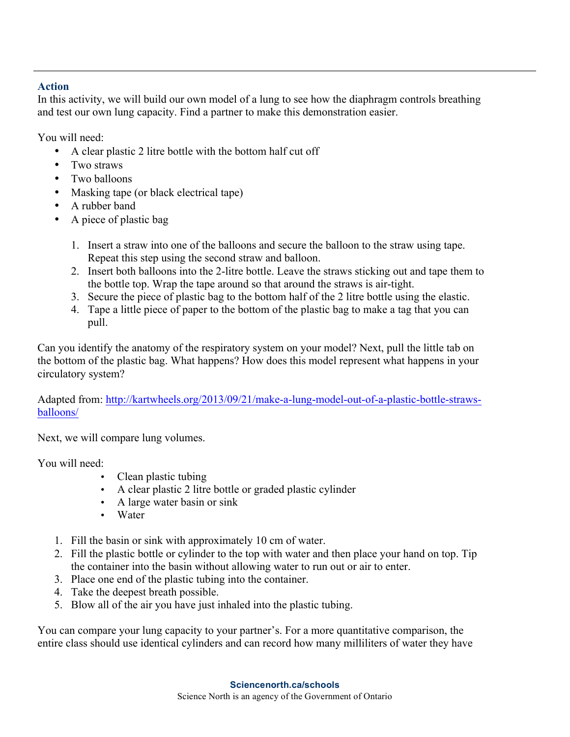# **Action**

In this activity, we will build our own model of a lung to see how the diaphragm controls breathing and test our own lung capacity. Find a partner to make this demonstration easier.

You will need:

- A clear plastic 2 litre bottle with the bottom half cut off
- Two straws
- Two balloons
- Masking tape (or black electrical tape)
- A rubber band
- A piece of plastic bag
	- 1. Insert a straw into one of the balloons and secure the balloon to the straw using tape. Repeat this step using the second straw and balloon.
	- 2. Insert both balloons into the 2-litre bottle. Leave the straws sticking out and tape them to the bottle top. Wrap the tape around so that around the straws is air-tight.
	- 3. Secure the piece of plastic bag to the bottom half of the 2 litre bottle using the elastic.
	- 4. Tape a little piece of paper to the bottom of the plastic bag to make a tag that you can pull.

Can you identify the anatomy of the respiratory system on your model? Next, pull the little tab on the bottom of the plastic bag. What happens? How does this model represent what happens in your circulatory system?

Adapted from: http://kartwheels.org/2013/09/21/make-a-lung-model-out-of-a-plastic-bottle-strawsballoons/

Next, we will compare lung volumes.

You will need:

- Clean plastic tubing
- A clear plastic 2 litre bottle or graded plastic cylinder
- A large water basin or sink
- Water
- 1. Fill the basin or sink with approximately 10 cm of water.
- 2. Fill the plastic bottle or cylinder to the top with water and then place your hand on top. Tip the container into the basin without allowing water to run out or air to enter.
- 3. Place one end of the plastic tubing into the container.
- 4. Take the deepest breath possible.
- 5. Blow all of the air you have just inhaled into the plastic tubing.

You can compare your lung capacity to your partner's. For a more quantitative comparison, the entire class should use identical cylinders and can record how many milliliters of water they have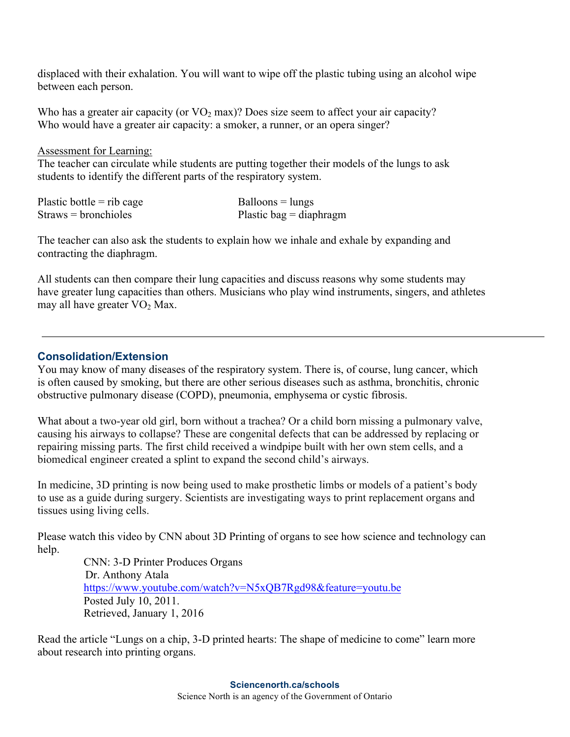displaced with their exhalation. You will want to wipe off the plastic tubing using an alcohol wipe between each person.

Who has a greater air capacity (or  $VO<sub>2</sub>$  max)? Does size seem to affect your air capacity? Who would have a greater air capacity: a smoker, a runner, or an opera singer?

Assessment for Learning:

The teacher can circulate while students are putting together their models of the lungs to ask students to identify the different parts of the respiratory system.

| Plastic bottle $=$ rib cage | $Balloons = lungs$        |
|-----------------------------|---------------------------|
| $Straws = bronchioles$      | Plastic bag $=$ diaphragm |

The teacher can also ask the students to explain how we inhale and exhale by expanding and contracting the diaphragm.

All students can then compare their lung capacities and discuss reasons why some students may have greater lung capacities than others. Musicians who play wind instruments, singers, and athletes may all have greater  $VO<sub>2</sub>$  Max.

# **Consolidation/Extension**

You may know of many diseases of the respiratory system. There is, of course, lung cancer, which is often caused by smoking, but there are other serious diseases such as asthma, bronchitis, chronic obstructive pulmonary disease (COPD), pneumonia, emphysema or cystic fibrosis.

What about a two-year old girl, born without a trachea? Or a child born missing a pulmonary valve, causing his airways to collapse? These are congenital defects that can be addressed by replacing or repairing missing parts. The first child received a windpipe built with her own stem cells, and a biomedical engineer created a splint to expand the second child's airways.

In medicine, 3D printing is now being used to make prosthetic limbs or models of a patient's body to use as a guide during surgery. Scientists are investigating ways to print replacement organs and tissues using living cells.

Please watch this video by CNN about 3D Printing of organs to see how science and technology can help.

> CNN: 3-D Printer Produces Organs Dr. Anthony Atala https://www.youtube.com/watch?v=N5xQB7Rgd98&feature=youtu.be Posted July 10, 2011. Retrieved, January 1, 2016

Read the article "Lungs on a chip, 3-D printed hearts: The shape of medicine to come" learn more about research into printing organs.